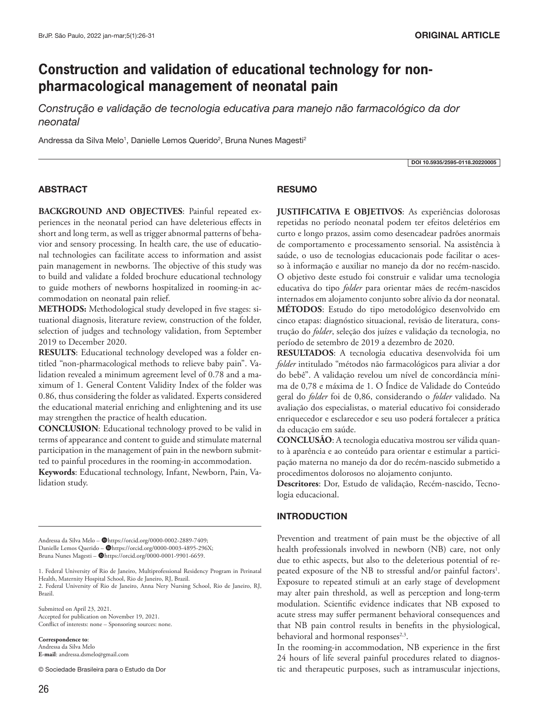# **Construction and validation of educational technology for nonpharmacological management of neonatal pain**

*Construção e validação de tecnologia educativa para manejo não farmacológico da dor neonatal*

Andressa da Silva Melo<sup>1</sup>, Danielle Lemos Querido<sup>2</sup>, Bruna Nunes Magesti<sup>2</sup>

DOI 10.5935/2595-0118.20220005

#### ABSTRACT

**BACKGROUND AND OBJECTIVES**: Painful repeated experiences in the neonatal period can have deleterious effects in short and long term, as well as trigger abnormal patterns of behavior and sensory processing. In health care, the use of educational technologies can facilitate access to information and assist pain management in newborns. The objective of this study was to build and validate a folded brochure educational technology to guide mothers of newborns hospitalized in rooming-in accommodation on neonatal pain relief.

**METHODS:** Methodological study developed in five stages: situational diagnosis, literature review, construction of the folder, selection of judges and technology validation, from September 2019 to December 2020.

**RESULTS**: Educational technology developed was a folder entitled "non-pharmacological methods to relieve baby pain". Validation revealed a minimum agreement level of 0.78 and a maximum of 1. General Content Validity Index of the folder was 0.86, thus considering the folder as validated. Experts considered the educational material enriching and enlightening and its use may strengthen the practice of health education.

**CONCLUSION**: Educational technology proved to be valid in terms of appearance and content to guide and stimulate maternal participation in the management of pain in the newborn submitted to painful procedures in the rooming-in accommodation.

**Keywords**: Educational technology, Infant, Newborn, Pain, Validation study.

Andressa da Silva Melo - @https://orcid.org/0000-0002-2889-7409; Danielle Lemos Querido - @https://orcid.org/0000-0003-4895-296X; Bruna Nunes Magesti - @https://orcid.org/0000-0001-9901-6659.

1. Federal University of Rio de Janeiro, Multiprofessional Residency Program in Perinatal Health, Maternity Hospital School, Rio de Janeiro, RJ, Brazil.

2. Federal University of Rio de Janeiro, Anna Nery Nursing School, Rio de Janeiro, RJ, Brazil.

Submitted on April 23, 2021. Accepted for publication on November 19, 2021. Conflict of interests: none – Sponsoring sources: none.

**Correspondence to**: Andressa da Silva Melo **E-mail**: andressa.dsmelo@gmail.com

© Sociedade Brasileira para o Estudo da Dor

## **RESUMO**

**JUSTIFICATIVA E OBJETIVOS**: As experiências dolorosas repetidas no período neonatal podem ter efeitos deletérios em curto e longo prazos, assim como desencadear padrões anormais de comportamento e processamento sensorial. Na assistência à saúde, o uso de tecnologias educacionais pode facilitar o acesso à informação e auxiliar no manejo da dor no recém-nascido. O objetivo deste estudo foi construir e validar uma tecnologia educativa do tipo *folder* para orientar mães de recém-nascidos internados em alojamento conjunto sobre alívio da dor neonatal. **MÉTODOS**: Estudo do tipo metodológico desenvolvido em cinco etapas: diagnóstico situacional, revisão de literatura, construção do *folder*, seleção dos juízes e validação da tecnologia, no período de setembro de 2019 a dezembro de 2020.

**RESULTADOS**: A tecnologia educativa desenvolvida foi um *folder* intitulado "métodos não farmacológicos para aliviar a dor do bebê". A validação revelou um nível de concordância mínima de 0,78 e máxima de 1. O Índice de Validade do Conteúdo geral do *folder* foi de 0,86, considerando o *folder* validado. Na avaliação dos especialistas, o material educativo foi considerado enriquecedor e esclarecedor e seu uso poderá fortalecer a prática da educação em saúde.

**CONCLUSÃO**: A tecnologia educativa mostrou ser válida quanto à aparência e ao conteúdo para orientar e estimular a participação materna no manejo da dor do recém-nascido submetido a procedimentos dolorosos no alojamento conjunto.

**Descritores**: Dor, Estudo de validação, Recém-nascido, Tecnologia educacional.

#### INTRODUCTION

Prevention and treatment of pain must be the objective of all health professionals involved in newborn (NB) care, not only due to ethic aspects, but also to the deleterious potential of repeated exposure of the NB to stressful and/or painful factors<sup>1</sup>. Exposure to repeated stimuli at an early stage of development may alter pain threshold, as well as perception and long-term modulation. Scientific evidence indicates that NB exposed to acute stress may suffer permanent behavioral consequences and that NB pain control results in benefits in the physiological, behavioral and hormonal responses<sup>2,3</sup>.

In the rooming-in accommodation, NB experience in the first 24 hours of life several painful procedures related to diagnostic and therapeutic purposes, such as intramuscular injections,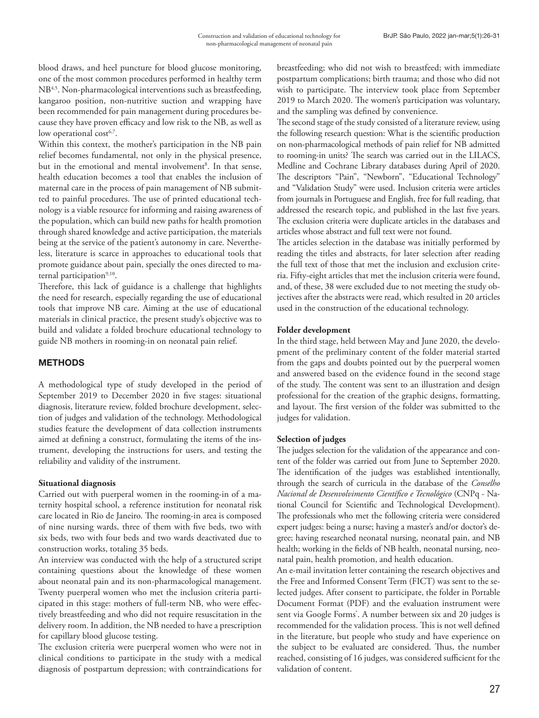blood draws, and heel puncture for blood glucose monitoring, one of the most common procedures performed in healthy term NB<sup>4,5</sup>. Non-pharmacological interventions such as breastfeeding, kangaroo position, non-nutritive suction and wrapping have been recommended for pain management during procedures because they have proven efficacy and low risk to the NB, as well as low operational cost $6,7$ .

Within this context, the mother's participation in the NB pain relief becomes fundamental, not only in the physical presence, but in the emotional and mental involvement<sup>8</sup>. In that sense, health education becomes a tool that enables the inclusion of maternal care in the process of pain management of NB submitted to painful procedures. The use of printed educational technology is a viable resource for informing and raising awareness of the population, which can build new paths for health promotion through shared knowledge and active participation, the materials being at the service of the patient's autonomy in care. Nevertheless, literature is scarce in approaches to educational tools that promote guidance about pain, specially the ones directed to maternal participation<sup>9,10</sup>.

Therefore, this lack of guidance is a challenge that highlights the need for research, especially regarding the use of educational tools that improve NB care. Aiming at the use of educational materials in clinical practice, the present study's objective was to build and validate a folded brochure educational technology to guide NB mothers in rooming-in on neonatal pain relief.

## **METHODS**

A methodological type of study developed in the period of September 2019 to December 2020 in five stages: situational diagnosis, literature review, folded brochure development, selection of judges and validation of the technology. Methodological studies feature the development of data collection instruments aimed at defining a construct, formulating the items of the instrument, developing the instructions for users, and testing the reliability and validity of the instrument.

## **Situational diagnosis**

Carried out with puerperal women in the rooming-in of a maternity hospital school, a reference institution for neonatal risk care located in Rio de Janeiro. The rooming-in area is composed of nine nursing wards, three of them with five beds, two with six beds, two with four beds and two wards deactivated due to construction works, totaling 35 beds.

An interview was conducted with the help of a structured script containing questions about the knowledge of these women about neonatal pain and its non-pharmacological management. Twenty puerperal women who met the inclusion criteria participated in this stage: mothers of full-term NB, who were effectively breastfeeding and who did not require resuscitation in the delivery room. In addition, the NB needed to have a prescription for capillary blood glucose testing.

The exclusion criteria were puerperal women who were not in clinical conditions to participate in the study with a medical diagnosis of postpartum depression; with contraindications for breastfeeding; who did not wish to breastfeed; with immediate postpartum complications; birth trauma; and those who did not wish to participate. The interview took place from September 2019 to March 2020. The women's participation was voluntary, and the sampling was defined by convenience.

The second stage of the study consisted of a literature review, using the following research question: What is the scientific production on non-pharmacological methods of pain relief for NB admitted to rooming-in units? The search was carried out in the LILACS, Medline and Cochrane Library databases during April of 2020. The descriptors "Pain", "Newborn", "Educational Technology" and "Validation Study" were used. Inclusion criteria were articles from journals in Portuguese and English, free for full reading, that addressed the research topic, and published in the last five years. The exclusion criteria were duplicate articles in the databases and articles whose abstract and full text were not found.

The articles selection in the database was initially performed by reading the titles and abstracts, for later selection after reading the full text of those that met the inclusion and exclusion criteria. Fifty-eight articles that met the inclusion criteria were found, and, of these, 38 were excluded due to not meeting the study objectives after the abstracts were read, which resulted in 20 articles used in the construction of the educational technology.

## **Folder development**

In the third stage, held between May and June 2020, the development of the preliminary content of the folder material started from the gaps and doubts pointed out by the puerperal women and answered based on the evidence found in the second stage of the study. The content was sent to an illustration and design professional for the creation of the graphic designs, formatting, and layout. The first version of the folder was submitted to the judges for validation.

## **Selection of judges**

The judges selection for the validation of the appearance and content of the folder was carried out from June to September 2020. The identification of the judges was established intentionally, through the search of curricula in the database of the *Conselho Nacional de Desenvolvimento Científico e Tecnológico* (CNPq - National Council for Scientific and Technological Development). The professionals who met the following criteria were considered expert judges: being a nurse; having a master's and/or doctor's degree; having researched neonatal nursing, neonatal pain, and NB health; working in the fields of NB health, neonatal nursing, neonatal pain, health promotion, and health education.

An e-mail invitation letter containing the research objectives and the Free and Informed Consent Term (FICT) was sent to the selected judges. After consent to participate, the folder in Portable Document Format (PDF) and the evaluation instrument were sent via Google Forms**®** . A number between six and 20 judges is recommended for the validation process. This is not well defined in the literature, but people who study and have experience on the subject to be evaluated are considered. Thus, the number reached, consisting of 16 judges, was considered sufficient for the validation of content.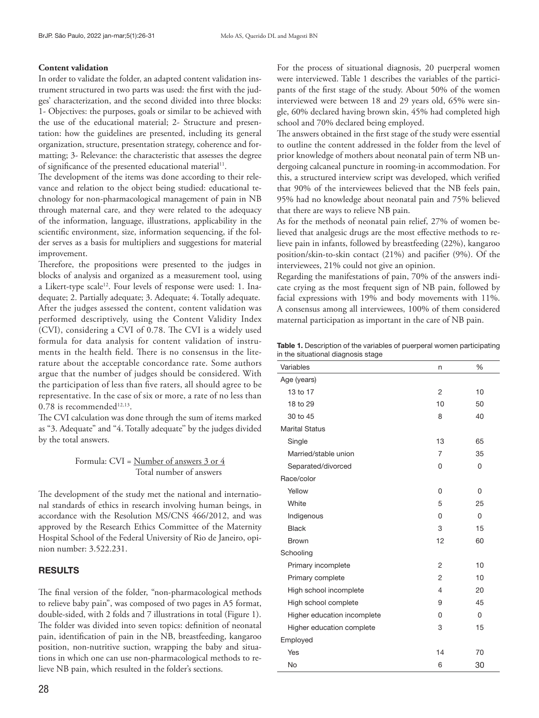#### **Content validation**

In order to validate the folder, an adapted content validation instrument structured in two parts was used: the first with the judges' characterization, and the second divided into three blocks: 1- Objectives: the purposes, goals or similar to be achieved with the use of the educational material; 2- Structure and presentation: how the guidelines are presented, including its general organization, structure, presentation strategy, coherence and formatting; 3- Relevance: the characteristic that assesses the degree of significance of the presented educational material<sup>11</sup>.

The development of the items was done according to their relevance and relation to the object being studied: educational technology for non-pharmacological management of pain in NB through maternal care, and they were related to the adequacy of the information, language, illustrations, applicability in the scientific environment, size, information sequencing, if the folder serves as a basis for multipliers and suggestions for material improvement.

Therefore, the propositions were presented to the judges in blocks of analysis and organized as a measurement tool, using a Likert-type scale<sup>12</sup>. Four levels of response were used: 1. Inadequate; 2. Partially adequate; 3. Adequate; 4. Totally adequate. After the judges assessed the content, content validation was performed descriptively, using the Content Validity Index (CVI), considering a CVI of 0.78. The CVI is a widely used formula for data analysis for content validation of instruments in the health field. There is no consensus in the literature about the acceptable concordance rate. Some authors argue that the number of judges should be considered. With the participation of less than five raters, all should agree to be representative. In the case of six or more, a rate of no less than  $0.78$  is recommended<sup>12,13</sup>.

The CVI calculation was done through the sum of items marked as "3. Adequate" and "4. Totally adequate'' by the judges divided by the total answers.

#### Formula: CVI = Number of answers 3 or 4 Total number of answers

The development of the study met the national and international standards of ethics in research involving human beings, in accordance with the Resolution MS/CNS 466/2012, and was approved by the Research Ethics Committee of the Maternity Hospital School of the Federal University of Rio de Janeiro, opinion number: 3.522.231.

#### RESULTS

The final version of the folder, "non-pharmacological methods to relieve baby pain", was composed of two pages in A5 format, double-sided, with 2 folds and 7 illustrations in total (Figure 1). The folder was divided into seven topics: definition of neonatal pain, identification of pain in the NB, breastfeeding, kangaroo position, non-nutritive suction, wrapping the baby and situations in which one can use non-pharmacological methods to relieve NB pain, which resulted in the folder's sections.

For the process of situational diagnosis, 20 puerperal women were interviewed. Table 1 describes the variables of the participants of the first stage of the study. About 50% of the women interviewed were between 18 and 29 years old, 65% were single, 60% declared having brown skin, 45% had completed high school and 70% declared being employed.

The answers obtained in the first stage of the study were essential to outline the content addressed in the folder from the level of prior knowledge of mothers about neonatal pain of term NB undergoing calcaneal puncture in rooming-in accommodation. For this, a structured interview script was developed, which verified that 90% of the interviewees believed that the NB feels pain, 95% had no knowledge about neonatal pain and 75% believed that there are ways to relieve NB pain.

As for the methods of neonatal pain relief, 27% of women believed that analgesic drugs are the most effective methods to relieve pain in infants, followed by breastfeeding (22%), kangaroo position/skin-to-skin contact (21%) and pacifier (9%). Of the interviewees, 21% could not give an opinion.

Regarding the manifestations of pain, 70% of the answers indicate crying as the most frequent sign of NB pain, followed by facial expressions with 19% and body movements with 11%. A consensus among all interviewees, 100% of them considered maternal participation as important in the care of NB pain.

Table 1. Description of the variables of puerperal women participating in the situational diagnosis stage

| n              | $\%$     |
|----------------|----------|
|                |          |
| $\overline{2}$ | 10       |
| 10             | 50       |
| 8              | 40       |
|                |          |
| 13             | 65       |
| $\overline{7}$ | 35       |
| 0              | 0        |
|                |          |
| 0              | $\Omega$ |
| 5              | 25       |
| 0              | $\Omega$ |
| 3              | 15       |
| 12             | 60       |
|                |          |
| $\overline{2}$ | 10       |
| $\overline{2}$ | 10       |
| 4              | 20       |
| 9              | 45       |
| 0              | $\Omega$ |
| 3              | 15       |
|                |          |
| 14             | 70       |
| 6              | 30       |
|                |          |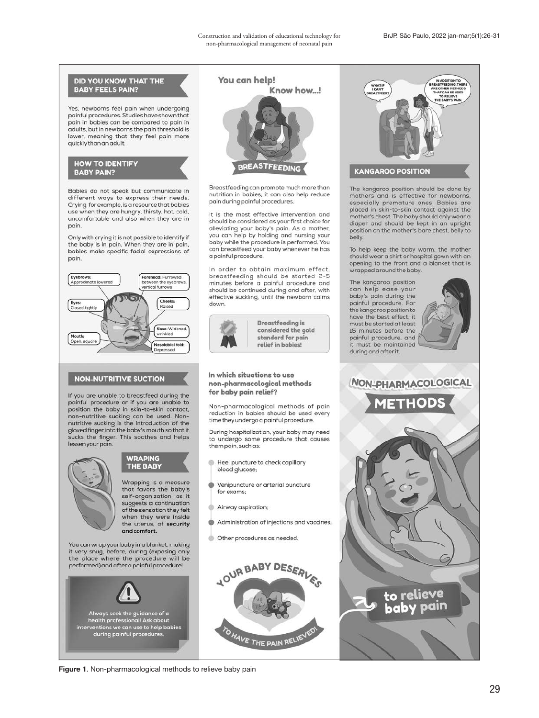

Figure 1. Non-pharmacological methods to relieve baby pain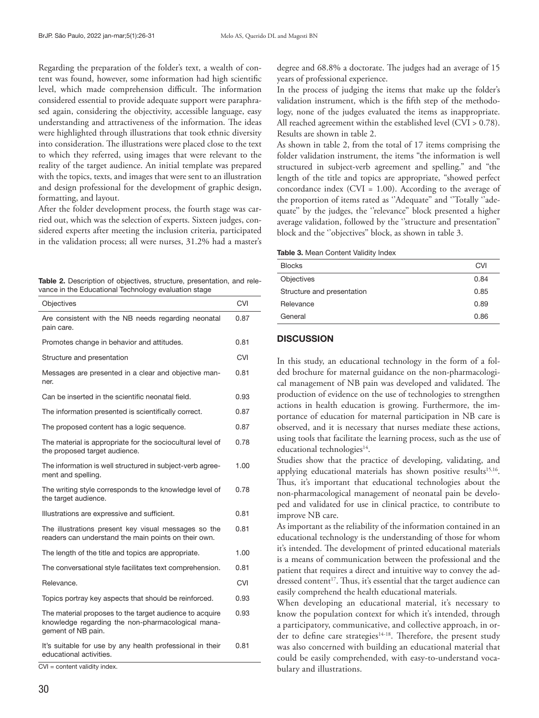Regarding the preparation of the folder's text, a wealth of content was found, however, some information had high scientific level, which made comprehension difficult. The information considered essential to provide adequate support were paraphrased again, considering the objectivity, accessible language, easy understanding and attractiveness of the information. The ideas were highlighted through illustrations that took ethnic diversity into consideration. The illustrations were placed close to the text to which they referred, using images that were relevant to the reality of the target audience. An initial template was prepared with the topics, texts, and images that were sent to an illustration and design professional for the development of graphic design, formatting, and layout.

After the folder development process, the fourth stage was carried out, which was the selection of experts. Sixteen judges, considered experts after meeting the inclusion criteria, participated in the validation process; all were nurses, 31.2% had a master's

Table 2. Description of objectives, structure, presentation, and relevance in the Educational Technology evaluation stage

| <b>Objectives</b>                                                                                                                  | <b>CVI</b> |
|------------------------------------------------------------------------------------------------------------------------------------|------------|
| Are consistent with the NB needs regarding neonatal<br>pain care.                                                                  | 0.87       |
| Promotes change in behavior and attitudes.                                                                                         | 0.81       |
| Structure and presentation                                                                                                         | <b>CVI</b> |
| Messages are presented in a clear and objective man-<br>ner.                                                                       | 0.81       |
| Can be inserted in the scientific neonatal field.                                                                                  | 0.93       |
| The information presented is scientifically correct.                                                                               | 0.87       |
| The proposed content has a logic sequence.                                                                                         | 0.87       |
| The material is appropriate for the sociocultural level of<br>the proposed target audience.                                        | 0.78       |
| The information is well structured in subject-verb agree-<br>ment and spelling.                                                    | 1.00       |
| The writing style corresponds to the knowledge level of<br>the target audience.                                                    | 0.78       |
| Illustrations are expressive and sufficient.                                                                                       | 0.81       |
| The illustrations present key visual messages so the<br>readers can understand the main points on their own.                       | 0.81       |
| The length of the title and topics are appropriate.                                                                                | 1.00       |
| The conversational style facilitates text comprehension.                                                                           | 0.81       |
| Relevance.                                                                                                                         | <b>CVI</b> |
| Topics portray key aspects that should be reinforced.                                                                              | 0.93       |
| The material proposes to the target audience to acquire<br>knowledge regarding the non-pharmacological mana-<br>gement of NB pain. | 0.93       |
| It's suitable for use by any health professional in their<br>educational activities.                                               | 0.81       |

CVI = content validity index.

degree and 68.8% a doctorate. The judges had an average of 15 years of professional experience.

In the process of judging the items that make up the folder's validation instrument, which is the fifth step of the methodology, none of the judges evaluated the items as inappropriate. All reached agreement within the established level (CVI > 0.78). Results are shown in table 2.

As shown in table 2, from the total of 17 items comprising the folder validation instrument, the items "the information is well structured in subject-verb agreement and spelling." and "the length of the title and topics are appropriate, "showed perfect concordance index (CVI = 1.00). According to the average of the proportion of items rated as "Adequate" and "Totally "adequate'' by the judges, the ''relevance'' block presented a higher average validation, followed by the ''structure and presentation'' block and the ''objectives'' block, as shown in table 3.

Table 3. Mean Content Validity Index

| <b>Blocks</b>              | <b>CVI</b> |
|----------------------------|------------|
| Objectives                 | 0.84       |
| Structure and presentation | 0.85       |
| Relevance                  | 0.89       |
| General                    | 0.86       |

#### **DISCUSSION**

In this study, an educational technology in the form of a folded brochure for maternal guidance on the non-pharmacological management of NB pain was developed and validated. The production of evidence on the use of technologies to strengthen actions in health education is growing. Furthermore, the importance of education for maternal participation in NB care is observed, and it is necessary that nurses mediate these actions, using tools that facilitate the learning process, such as the use of educational technologies<sup>14</sup>.

Studies show that the practice of developing, validating, and applying educational materials has shown positive results<sup>15,16</sup>. Thus, it's important that educational technologies about the non-pharmacological management of neonatal pain be developed and validated for use in clinical practice, to contribute to improve NB care.

As important as the reliability of the information contained in an educational technology is the understanding of those for whom it's intended. The development of printed educational materials is a means of communication between the professional and the patient that requires a direct and intuitive way to convey the addressed content<sup>17</sup>. Thus, it's essential that the target audience can easily comprehend the health educational materials.

When developing an educational material, it's necessary to know the population context for which it's intended, through a participatory, communicative, and collective approach, in order to define care strategies<sup>14-18</sup>. Therefore, the present study was also concerned with building an educational material that could be easily comprehended, with easy-to-understand vocabulary and illustrations.